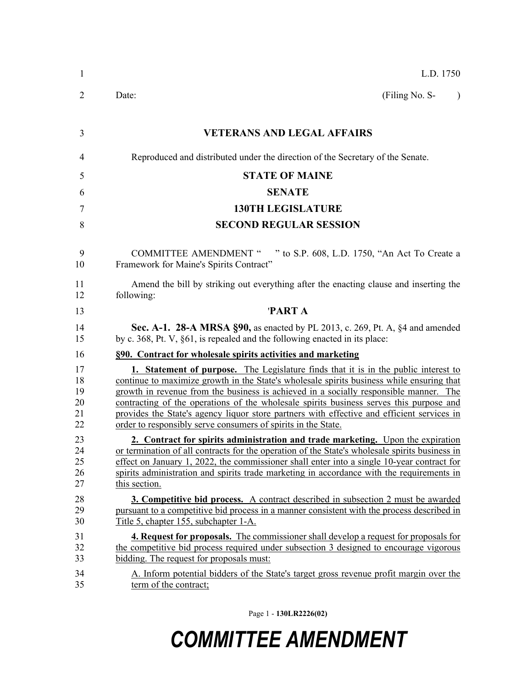| $\mathbf{1}$                     | L.D. 1750                                                                                                                                                                                                                                                                                                                                                                                                                                                                                                                                  |
|----------------------------------|--------------------------------------------------------------------------------------------------------------------------------------------------------------------------------------------------------------------------------------------------------------------------------------------------------------------------------------------------------------------------------------------------------------------------------------------------------------------------------------------------------------------------------------------|
| 2                                | (Filing No. S-<br>Date:<br>$\lambda$                                                                                                                                                                                                                                                                                                                                                                                                                                                                                                       |
| 3                                | <b>VETERANS AND LEGAL AFFAIRS</b>                                                                                                                                                                                                                                                                                                                                                                                                                                                                                                          |
| 4                                | Reproduced and distributed under the direction of the Secretary of the Senate.                                                                                                                                                                                                                                                                                                                                                                                                                                                             |
| 5                                | <b>STATE OF MAINE</b>                                                                                                                                                                                                                                                                                                                                                                                                                                                                                                                      |
| 6                                | <b>SENATE</b>                                                                                                                                                                                                                                                                                                                                                                                                                                                                                                                              |
| 7                                | <b>130TH LEGISLATURE</b>                                                                                                                                                                                                                                                                                                                                                                                                                                                                                                                   |
| 8                                | <b>SECOND REGULAR SESSION</b>                                                                                                                                                                                                                                                                                                                                                                                                                                                                                                              |
| 9<br>10                          | COMMITTEE AMENDMENT " " to S.P. 608, L.D. 1750, "An Act To Create a<br>Framework for Maine's Spirits Contract"                                                                                                                                                                                                                                                                                                                                                                                                                             |
| 11<br>12                         | Amend the bill by striking out everything after the enacting clause and inserting the<br>following:                                                                                                                                                                                                                                                                                                                                                                                                                                        |
| 13                               | <b>PARTA</b>                                                                                                                                                                                                                                                                                                                                                                                                                                                                                                                               |
| 14<br>15                         | <b>Sec. A-1. 28-A MRSA §90, as enacted by PL 2013, c. 269, Pt. A, §4 and amended</b><br>by c. 368, Pt. V, §61, is repealed and the following enacted in its place:                                                                                                                                                                                                                                                                                                                                                                         |
| 16                               | §90. Contract for wholesale spirits activities and marketing                                                                                                                                                                                                                                                                                                                                                                                                                                                                               |
| 17<br>18<br>19<br>20<br>21<br>22 | <b>1.</b> Statement of purpose. The Legislature finds that it is in the public interest to<br>continue to maximize growth in the State's wholesale spirits business while ensuring that<br>growth in revenue from the business is achieved in a socially responsible manner. The<br>contracting of the operations of the wholesale spirits business serves this purpose and<br>provides the State's agency liquor store partners with effective and efficient services in<br>order to responsibly serve consumers of spirits in the State. |
| 23<br>24<br>25<br>26<br>27       | 2. Contract for spirits administration and trade marketing. Upon the expiration<br>or termination of all contracts for the operation of the State's wholesale spirits business in<br>effect on January 1, 2022, the commissioner shall enter into a single 10-year contract for<br>spirits administration and spirits trade marketing in accordance with the requirements in<br>this section.                                                                                                                                              |
| 28<br>29<br>30                   | 3. Competitive bid process. A contract described in subsection 2 must be awarded<br>pursuant to a competitive bid process in a manner consistent with the process described in<br>Title 5, chapter 155, subchapter 1-A.                                                                                                                                                                                                                                                                                                                    |
| 31<br>32<br>33                   | <b>4. Request for proposals.</b> The commissioner shall develop a request for proposals for<br>the competitive bid process required under subsection 3 designed to encourage vigorous<br>bidding. The request for proposals must:                                                                                                                                                                                                                                                                                                          |
| 34<br>35                         | A. Inform potential bidders of the State's target gross revenue profit margin over the<br>term of the contract;                                                                                                                                                                                                                                                                                                                                                                                                                            |

Page 1 - **130LR2226(02)**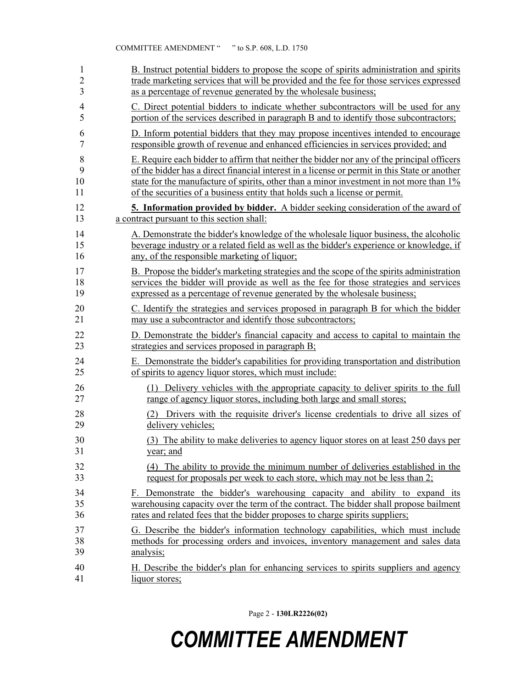| 1              | B. Instruct potential bidders to propose the scope of spirits administration and spirits      |
|----------------|-----------------------------------------------------------------------------------------------|
| $\overline{2}$ | trade marketing services that will be provided and the fee for those services expressed       |
| 3              | as a percentage of revenue generated by the wholesale business;                               |
| 4              | C. Direct potential bidders to indicate whether subcontractors will be used for any           |
| 5              | portion of the services described in paragraph B and to identify those subcontractors;        |
| 6              | D. Inform potential bidders that they may propose incentives intended to encourage            |
| 7              | responsible growth of revenue and enhanced efficiencies in services provided; and             |
| 8              | E. Require each bidder to affirm that neither the bidder nor any of the principal officers    |
| 9              | of the bidder has a direct financial interest in a license or permit in this State or another |
| 10             | state for the manufacture of spirits, other than a minor investment in not more than 1%       |
| 11             | of the securities of a business entity that holds such a license or permit.                   |
| 12             | 5. Information provided by bidder. A bidder seeking consideration of the award of             |
| 13             | a contract pursuant to this section shall:                                                    |
| 14             | A. Demonstrate the bidder's knowledge of the wholesale liquor business, the alcoholic         |
| 15             | beverage industry or a related field as well as the bidder's experience or knowledge, if      |
| 16             | any, of the responsible marketing of liquor;                                                  |
| 17             | B. Propose the bidder's marketing strategies and the scope of the spirits administration      |
| 18             | services the bidder will provide as well as the fee for those strategies and services         |
| 19             | expressed as a percentage of revenue generated by the wholesale business;                     |
| 20             | C. Identify the strategies and services proposed in paragraph B for which the bidder          |
| 21             | may use a subcontractor and identify those subcontractors;                                    |
| 22             | D. Demonstrate the bidder's financial capacity and access to capital to maintain the          |
| 23             | strategies and services proposed in paragraph B;                                              |
| 24             | E. Demonstrate the bidder's capabilities for providing transportation and distribution        |
| 25             | of spirits to agency liquor stores, which must include:                                       |
| 26             | (1) Delivery vehicles with the appropriate capacity to deliver spirits to the full            |
| 27             | range of agency liquor stores, including both large and small stores;                         |
| 28             | (2) Drivers with the requisite driver's license credentials to drive all sizes of             |
| 29             | delivery vehicles;                                                                            |
| 30             | (3) The ability to make deliveries to agency liquor stores on at least 250 days per           |
| 31             | year; and                                                                                     |
| 32             | (4) The ability to provide the minimum number of deliveries established in the                |
| 33             | request for proposals per week to each store, which may not be less than 2;                   |
| 34             | F. Demonstrate the bidder's warehousing capacity and ability to expand its                    |
| 35             | warehousing capacity over the term of the contract. The bidder shall propose bailment         |
| 36             | rates and related fees that the bidder proposes to charge spirits suppliers;                  |
| 37             | G. Describe the bidder's information technology capabilities, which must include              |
| 38             | methods for processing orders and invoices, inventory management and sales data               |
| 39             | analysis;                                                                                     |
| 40             | H. Describe the bidder's plan for enhancing services to spirits suppliers and agency          |
| 41             | liquor stores;                                                                                |

Page 2 - **130LR2226(02)**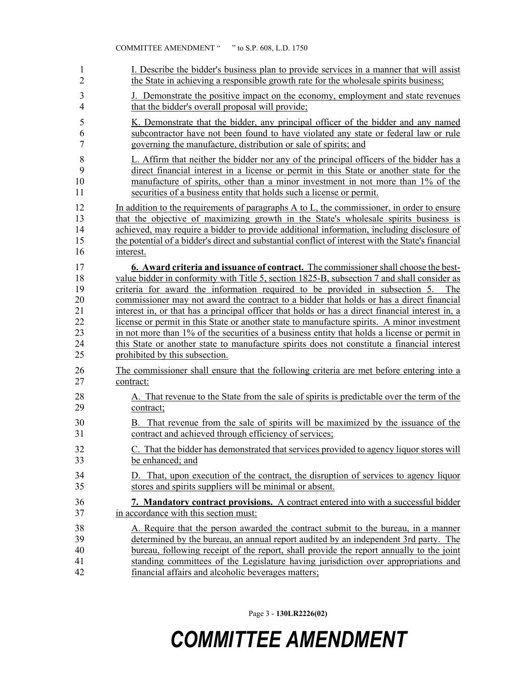| 1              | I. Describe the bidder's business plan to provide services in a manner that will assist            |
|----------------|----------------------------------------------------------------------------------------------------|
| $\overline{2}$ | the State in achieving a responsible growth rate for the wholesale spirits business;               |
| 3              | J. Demonstrate the positive impact on the economy, employment and state revenues                   |
| $\overline{4}$ | that the bidder's overall proposal will provide;                                                   |
| 5              | K. Demonstrate that the bidder, any principal officer of the bidder and any named                  |
| 6              | subcontractor have not been found to have violated any state or federal law or rule                |
| $\overline{7}$ | governing the manufacture, distribution or sale of spirits; and                                    |
| 8              | L. Affirm that neither the bidder nor any of the principal officers of the bidder has a            |
| 9              | direct financial interest in a license or permit in this State or another state for the            |
| 10             | manufacture of spirits, other than a minor investment in not more than 1% of the                   |
| 11             | securities of a business entity that holds such a license or permit.                               |
| 12             | In addition to the requirements of paragraphs A to L, the commissioner, in order to ensure         |
| 13             | that the objective of maximizing growth in the State's wholesale spirits business is               |
| 14             | achieved, may require a bidder to provide additional information, including disclosure of          |
| 15             | the potential of a bidder's direct and substantial conflict of interest with the State's financial |
| 16             | interest.                                                                                          |
| 17             | <b>6. Award criteria and issuance of contract.</b> The commissioner shall choose the best-         |
| 18             | value bidder in conformity with Title 5, section 1825-B, subsection 7 and shall consider as        |
| 19             | criteria for award the information required to be provided in subsection 5. The                    |
| 20             | commissioner may not award the contract to a bidder that holds or has a direct financial           |
| 21             | interest in, or that has a principal officer that holds or has a direct financial interest in, a   |
| 22             | license or permit in this State or another state to manufacture spirits. A minor investment        |
| 23             | in not more than 1% of the securities of a business entity that holds a license or permit in       |
| 24             | this State or another state to manufacture spirits does not constitute a financial interest        |
| 25             | prohibited by this subsection.                                                                     |
| 26             | The commissioner shall ensure that the following criteria are met before entering into a           |
| 27             | contract:                                                                                          |
| 28             | A. That revenue to the State from the sale of spirits is predictable over the term of the          |
| 29             | contract;                                                                                          |
| 30             | B. That revenue from the sale of spirits will be maximized by the issuance of the                  |
| 31             | contract and achieved through efficiency of services;                                              |
| 32             | C. That the bidder has demonstrated that services provided to agency liquor stores will            |
| 33             | be enhanced; and                                                                                   |
| 34             | D. That, upon execution of the contract, the disruption of services to agency liquor               |
| 35             | stores and spirits suppliers will be minimal or absent.                                            |
| 36             | 7. Mandatory contract provisions. A contract entered into with a successful bidder                 |
| 37             | in accordance with this section must:                                                              |
| 38             | A. Require that the person awarded the contract submit to the bureau, in a manner                  |
| 39             | determined by the bureau, an annual report audited by an independent 3rd party. The                |
| 40             | bureau, following receipt of the report, shall provide the report annually to the joint            |
| 41             | standing committees of the Legislature having jurisdiction over appropriations and                 |
| 42             | financial affairs and alcoholic beverages matters;                                                 |

Page 3 - **130LR2226(02)**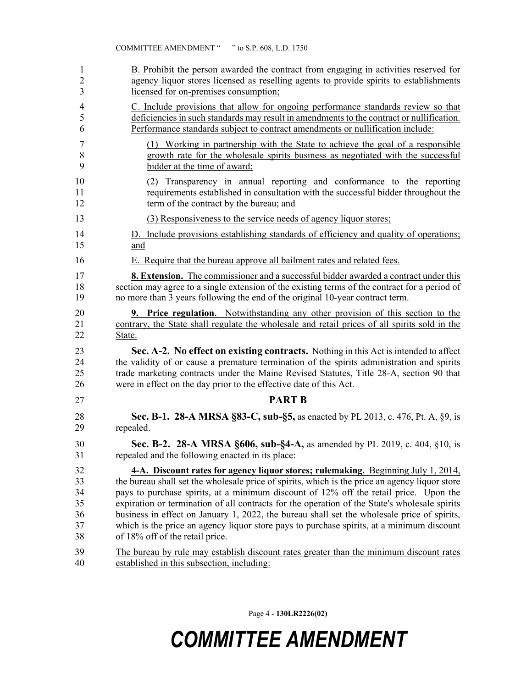| $\mathbf{1}$   | B. Prohibit the person awarded the contract from engaging in activities reserved for           |
|----------------|------------------------------------------------------------------------------------------------|
| $\overline{2}$ | agency liquor stores licensed as reselling agents to provide spirits to establishments         |
| 3              | licensed for on-premises consumption;                                                          |
| $\overline{4}$ | C. Include provisions that allow for ongoing performance standards review so that              |
| 5              | deficiencies in such standards may result in amendments to the contract or nullification.      |
| 6              | Performance standards subject to contract amendments or nullification include:                 |
| 7              | (1) Working in partnership with the State to achieve the goal of a responsible                 |
| 8              | growth rate for the wholesale spirits business as negotiated with the successful               |
| 9              | bidder at the time of award;                                                                   |
| 10             | (2) Transparency in annual reporting and conformance to the reporting                          |
| 11             | requirements established in consultation with the successful bidder throughout the             |
| 12             | term of the contract by the bureau; and                                                        |
| 13             | (3) Responsiveness to the service needs of agency liquor stores;                               |
| 14             | D. Include provisions establishing standards of efficiency and quality of operations;          |
| 15             | and                                                                                            |
| 16             | E. Require that the bureau approve all bailment rates and related fees.                        |
| 17             | <b>8. Extension.</b> The commissioner and a successful bidder awarded a contract under this    |
| 18             | section may agree to a single extension of the existing terms of the contract for a period of  |
| 19             | no more than 3 years following the end of the original 10-year contract term.                  |
| 20             | <b>9. Price regulation.</b> Notwithstanding any other provision of this section to the         |
| 21             | contrary, the State shall regulate the wholesale and retail prices of all spirits sold in the  |
| 22             | State.                                                                                         |
| 23             | Sec. A-2. No effect on existing contracts. Nothing in this Act is intended to affect           |
| 24             | the validity of or cause a premature termination of the spirits administration and spirits     |
| 25             | trade marketing contracts under the Maine Revised Statutes, Title 28-A, section 90 that        |
| 26             | were in effect on the day prior to the effective date of this Act.                             |
| 27             | <b>PART B</b>                                                                                  |
| 28             | <b>Sec. B-1. 28-A MRSA §83-C, sub-§5, as enacted by PL 2013, c. 476, Pt. A, §9, is</b>         |
| 29             | repealed.                                                                                      |
| 30             | Sec. B-2. 28-A MRSA §606, sub-§4-A, as amended by PL 2019, c. 404, §10, is                     |
| 31             | repealed and the following enacted in its place:                                               |
| 32             | 4-A. Discount rates for agency liquor stores; rulemaking. Beginning July 1, 2014,              |
| 33             | the bureau shall set the wholesale price of spirits, which is the price an agency liquor store |
| 34             | pays to purchase spirits, at a minimum discount of 12% off the retail price. Upon the          |
| 35             | expiration or termination of all contracts for the operation of the State's wholesale spirits  |
| 36             | business in effect on January 1, 2022, the bureau shall set the wholesale price of spirits,    |
| 37             | which is the price an agency liquor store pays to purchase spirits, at a minimum discount      |
| 38             | of 18% off of the retail price.                                                                |
| 39             | The bureau by rule may establish discount rates greater than the minimum discount rates        |
| 40             | established in this subsection, including:                                                     |

Page 4 - **130LR2226(02)**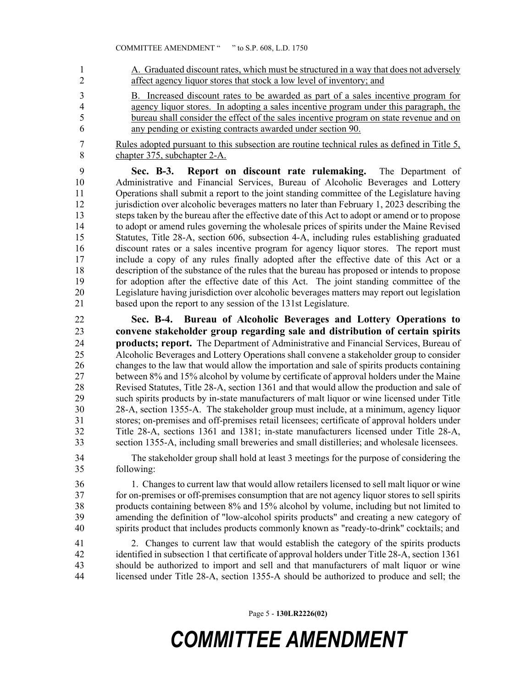1 A. Graduated discount rates, which must be structured in a way that does not adversely 2 affect agency liquor stores that stock a low level of inventory; and

- 3 B. Increased discount rates to be awarded as part of a sales incentive program for 4 agency liquor stores. In adopting a sales incentive program under this paragraph, the 5 bureau shall consider the effect of the sales incentive program on state revenue and on 6 any pending or existing contracts awarded under section 90.
- 7 Rules adopted pursuant to this subsection are routine technical rules as defined in Title 5, 8 chapter 375, subchapter 2-A.

9 **Sec. B-3. Report on discount rate rulemaking.** The Department of 10 Administrative and Financial Services, Bureau of Alcoholic Beverages and Lottery 11 Operations shall submit a report to the joint standing committee of the Legislature having 12 jurisdiction over alcoholic beverages matters no later than February 1, 2023 describing the 13 steps taken by the bureau after the effective date of this Act to adopt or amend or to propose 14 to adopt or amend rules governing the wholesale prices of spirits under the Maine Revised 15 Statutes, Title 28-A, section 606, subsection 4-A, including rules establishing graduated 16 discount rates or a sales incentive program for agency liquor stores. The report must 17 include a copy of any rules finally adopted after the effective date of this Act or a 18 description of the substance of the rules that the bureau has proposed or intends to propose 19 for adoption after the effective date of this Act. The joint standing committee of the 20 Legislature having jurisdiction over alcoholic beverages matters may report out legislation 21 based upon the report to any session of the 131st Legislature.

22 **Sec. B-4. Bureau of Alcoholic Beverages and Lottery Operations to**  23 **convene stakeholder group regarding sale and distribution of certain spirits**  24 **products; report.** The Department of Administrative and Financial Services, Bureau of 25 Alcoholic Beverages and Lottery Operations shall convene a stakeholder group to consider 26 changes to the law that would allow the importation and sale of spirits products containing 27 between 8% and 15% alcohol by volume by certificate of approval holders under the Maine 28 Revised Statutes, Title 28-A, section 1361 and that would allow the production and sale of 29 such spirits products by in-state manufacturers of malt liquor or wine licensed under Title 30 28-A, section 1355-A. The stakeholder group must include, at a minimum, agency liquor 31 stores; on-premises and off-premises retail licensees; certificate of approval holders under 32 Title 28-A, sections 1361 and 1381; in-state manufacturers licensed under Title 28-A, 33 section 1355-A, including small breweries and small distilleries; and wholesale licensees.

34 The stakeholder group shall hold at least 3 meetings for the purpose of considering the 35 following:

36 1. Changes to current law that would allow retailers licensed to sell malt liquor or wine 37 for on-premises or off-premises consumption that are not agency liquor stores to sell spirits 38 products containing between 8% and 15% alcohol by volume, including but not limited to 39 amending the definition of "low-alcohol spirits products" and creating a new category of 40 spirits product that includes products commonly known as "ready-to-drink" cocktails; and

41 2. Changes to current law that would establish the category of the spirits products 42 identified in subsection 1 that certificate of approval holders under Title 28-A, section 1361 43 should be authorized to import and sell and that manufacturers of malt liquor or wine 44 licensed under Title 28-A, section 1355-A should be authorized to produce and sell; the

Page 5 - **130LR2226(02)**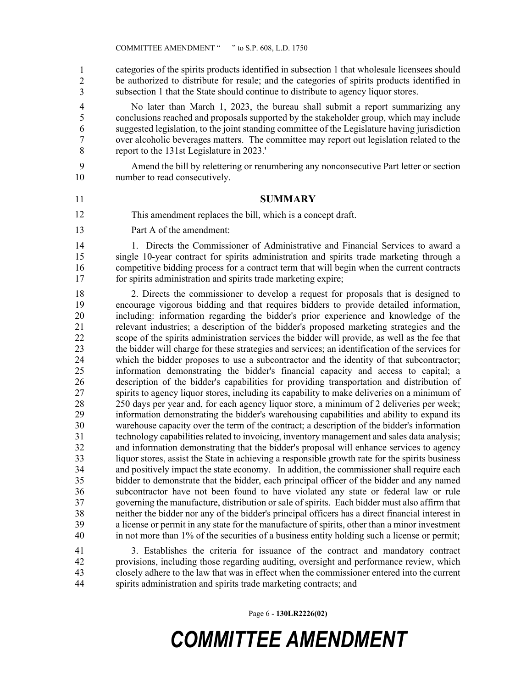45 categories of the spirits products identified in subsection 1 that wholesale licensees should be authorized to distribute for resale; and the categories of spirits products identified in subsection 1 that the State should continue to distribute to agency liquor stores. 1 2 3

4 No later than March 1, 2023, the bureau shall submit a report summarizing any 5 conclusions reached and proposals supported by the stakeholder group, which may include 6 suggested legislation, to the joint standing committee of the Legislature having jurisdiction 7 over alcoholic beverages matters. The committee may report out legislation related to the 8 report to the 131st Legislature in 2023.'

9 Amend the bill by relettering or renumbering any nonconsecutive Part letter or section 10 number to read consecutively.

#### 11 **SUMMARY**

- This amendment replaces the bill, which is a concept draft. 12
- 13 Part A of the amendment:

14 1. Directs the Commissioner of Administrative and Financial Services to award a 15 single 10-year contract for spirits administration and spirits trade marketing through a 16 competitive bidding process for a contract term that will begin when the current contracts 17 for spirits administration and spirits trade marketing expire;

18 2. Directs the commissioner to develop a request for proposals that is designed to 19 encourage vigorous bidding and that requires bidders to provide detailed information, 20 including: information regarding the bidder's prior experience and knowledge of the 21 relevant industries; a description of the bidder's proposed marketing strategies and the 22 scope of the spirits administration services the bidder will provide, as well as the fee that 23 the bidder will charge for these strategies and services; an identification of the services for 24 which the bidder proposes to use a subcontractor and the identity of that subcontractor; 25 information demonstrating the bidder's financial capacity and access to capital; a 26 description of the bidder's capabilities for providing transportation and distribution of 27 spirits to agency liquor stores, including its capability to make deliveries on a minimum of 28 250 days per year and, for each agency liquor store, a minimum of 2 deliveries per week; 29 information demonstrating the bidder's warehousing capabilities and ability to expand its 30 warehouse capacity over the term of the contract; a description of the bidder's information 31 technology capabilities related to invoicing, inventory management and sales data analysis; 32 and information demonstrating that the bidder's proposal will enhance services to agency 33 liquor stores, assist the State in achieving a responsible growth rate for the spirits business 34 and positively impact the state economy. In addition, the commissioner shall require each 35 bidder to demonstrate that the bidder, each principal officer of the bidder and any named 36 subcontractor have not been found to have violated any state or federal law or rule 37 governing the manufacture, distribution or sale of spirits. Each bidder must also affirm that 38 neither the bidder nor any of the bidder's principal officers has a direct financial interest in 39 a license or permit in any state for the manufacture of spirits, other than a minor investment 40 in not more than 1% of the securities of a business entity holding such a license or permit;

41 3. Establishes the criteria for issuance of the contract and mandatory contract 42 provisions, including those regarding auditing, oversight and performance review, which 43 closely adhere to the law that was in effect when the commissioner entered into the current 44 spirits administration and spirits trade marketing contracts; and

Page 6 - **130LR2226(02)**